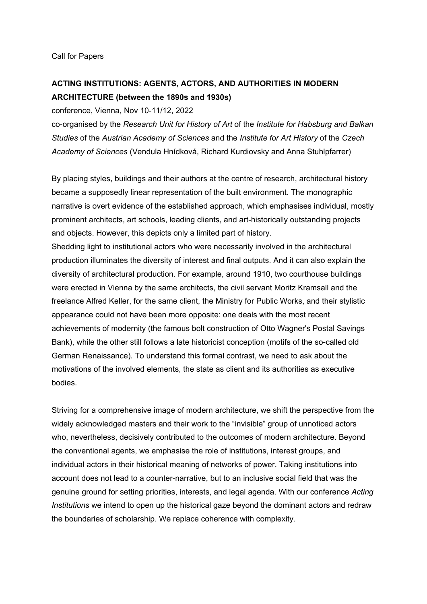## **ACTING INSTITUTIONS: AGENTS, ACTORS, AND AUTHORITIES IN MODERN ARCHITECTURE (between the 1890s and 1930s)**

conference, Vienna, Nov 10-11/12, 2022

co-organised by the *Research Unit for History of Art* of the *Institute for Habsburg and Balkan Studies* of the *Austrian Academy of Sciences* and the *Institute for Art History* of the *Czech Academy of Sciences* (Vendula Hnídková, Richard Kurdiovsky and Anna Stuhlpfarrer)

By placing styles, buildings and their authors at the centre of research, architectural history became a supposedly linear representation of the built environment. The monographic narrative is overt evidence of the established approach, which emphasises individual, mostly prominent architects, art schools, leading clients, and art-historically outstanding projects and objects. However, this depicts only a limited part of history.

Shedding light to institutional actors who were necessarily involved in the architectural production illuminates the diversity of interest and final outputs. And it can also explain the diversity of architectural production. For example, around 1910, two courthouse buildings were erected in Vienna by the same architects, the civil servant Moritz Kramsall and the freelance Alfred Keller, for the same client, the Ministry for Public Works, and their stylistic appearance could not have been more opposite: one deals with the most recent achievements of modernity (the famous bolt construction of Otto Wagner's Postal Savings Bank), while the other still follows a late historicist conception (motifs of the so-called old German Renaissance). To understand this formal contrast, we need to ask about the motivations of the involved elements, the state as client and its authorities as executive bodies.

Striving for a comprehensive image of modern architecture, we shift the perspective from the widely acknowledged masters and their work to the "invisible" group of unnoticed actors who, nevertheless, decisively contributed to the outcomes of modern architecture. Beyond the conventional agents, we emphasise the role of institutions, interest groups, and individual actors in their historical meaning of networks of power. Taking institutions into account does not lead to a counter-narrative, but to an inclusive social field that was the genuine ground for setting priorities, interests, and legal agenda. With our conference *Acting Institutions* we intend to open up the historical gaze beyond the dominant actors and redraw the boundaries of scholarship. We replace coherence with complexity.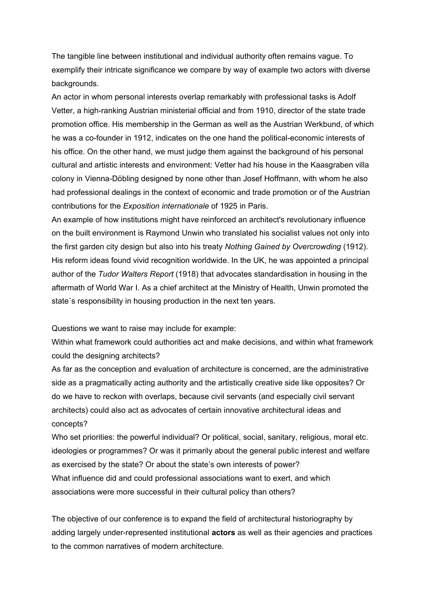The tangible line between institutional and individual authority often remains vague. To exemplify their intricate significance we compare by way of example two actors with diverse backgrounds.

An actor in whom personal interests overlap remarkably with professional tasks is Adolf Vetter, a high-ranking Austrian ministerial official and from 1910, director of the state trade promotion office. His membership in the German as well as the Austrian Werkbund, of which he was a co-founder in 1912, indicates on the one hand the political-economic interests of his office. On the other hand, we must judge them against the background of his personal cultural and artistic interests and environment: Vetter had his house in the Kaasgraben villa colony in Vienna-Döbling designed by none other than Josef Hoffmann, with whom he also had professional dealings in the context of economic and trade promotion or of the Austrian contributions for the *Exposition internationale* of 1925 in Paris.

An example of how institutions might have reinforced an architect's revolutionary influence on the built environment is Raymond Unwin who translated his socialist values not only into the first garden city design but also into his treaty *Nothing Gained by Overcrowding* (1912). His reform ideas found vivid recognition worldwide. In the UK, he was appointed a principal author of the *Tudor Walters Report* (1918) that advocates standardisation in housing in the aftermath of World War I. As a chief architect at the Ministry of Health, Unwin promoted the state´s responsibility in housing production in the next ten years.

Questions we want to raise may include for example:

Within what framework could authorities act and make decisions, and within what framework could the designing architects?

As far as the conception and evaluation of architecture is concerned, are the administrative side as a pragmatically acting authority and the artistically creative side like opposites? Or do we have to reckon with overlaps, because civil servants (and especially civil servant architects) could also act as advocates of certain innovative architectural ideas and concepts?

Who set priorities: the powerful individual? Or political, social, sanitary, religious, moral etc. ideologies or programmes? Or was it primarily about the general public interest and welfare as exercised by the state? Or about the state's own interests of power? What influence did and could professional associations want to exert, and which associations were more successful in their cultural policy than others?

The objective of our conference is to expand the field of architectural historiography by adding largely under-represented institutional **actors** as well as their agencies and practices to the common narratives of modern architecture.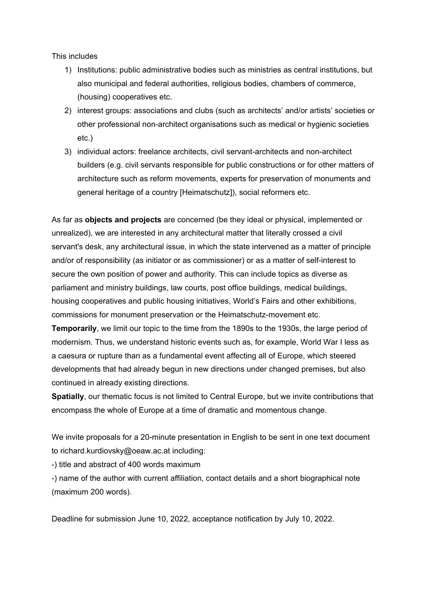This includes

- 1) Institutions: public administrative bodies such as ministries as central institutions, but also municipal and federal authorities, religious bodies, chambers of commerce, (housing) cooperatives etc.
- 2) interest groups: associations and clubs (such as architects' and/or artists' societies or other professional non-architect organisations such as medical or hygienic societies etc.)
- 3) individual actors: freelance architects, civil servant-architects and non-architect builders (e.g. civil servants responsible for public constructions or for other matters of architecture such as reform movements, experts for preservation of monuments and general heritage of a country [Heimatschutz]), social reformers etc.

As far as **objects and projects** are concerned (be they ideal or physical, implemented or unrealized), we are interested in any architectural matter that literally crossed a civil servant's desk, any architectural issue, in which the state intervened as a matter of principle and/or of responsibility (as initiator or as commissioner) or as a matter of self-interest to secure the own position of power and authority. This can include topics as diverse as parliament and ministry buildings, law courts, post office buildings, medical buildings, housing cooperatives and public housing initiatives, World's Fairs and other exhibitions, commissions for monument preservation or the Heimatschutz-movement etc.

**Temporarily**, we limit our topic to the time from the 1890s to the 1930s, the large period of modernism. Thus, we understand historic events such as, for example, World War I less as a caesura or rupture than as a fundamental event affecting all of Europe, which steered developments that had already begun in new directions under changed premises, but also continued in already existing directions.

**Spatially**, our thematic focus is not limited to Central Europe, but we invite contributions that encompass the whole of Europe at a time of dramatic and momentous change.

We invite proposals for a 20-minute presentation in English to be sent in one text document to richard.kurdiovsky@oeaw.ac.at including:

-) title and abstract of 400 words maximum

-) name of the author with current affiliation, contact details and a short biographical note (maximum 200 words).

Deadline for submission June 10, 2022, acceptance notification by July 10, 2022.